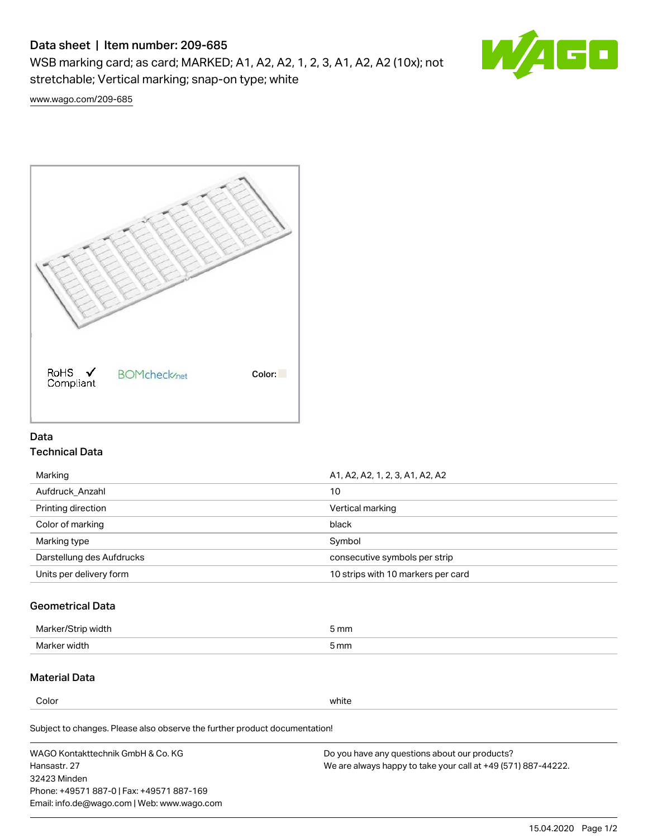## Data sheet | Item number: 209-685

WSB marking card; as card; MARKED; A1, A2, A2, 1, 2, 3, A1, A2, A2 (10x); not stretchable; Vertical marking; snap-on type; white



[www.wago.com/209-685](http://www.wago.com/209-685)



## Data Technical Data

| Marking                   | A1, A2, A2, 1, 2, 3, A1, A2, A2    |  |
|---------------------------|------------------------------------|--|
| Aufdruck Anzahl           | 10                                 |  |
| Printing direction        | Vertical marking                   |  |
| Color of marking          | black                              |  |
| Marking type              | Symbol                             |  |
| Darstellung des Aufdrucks | consecutive symbols per strip      |  |
| Units per delivery form   | 10 strips with 10 markers per card |  |

## Geometrical Data

| طلقاء ئ<br><b>Marker</b><br>widtr | ັກmm |
|-----------------------------------|------|
| Marker width                      | 5 mm |

## Material Data

Color white

Subject to changes. Please also observe the further product documentation!

WAGO Kontakttechnik GmbH & Co. KG Hansastr. 27 32423 Minden Phone: +49571 887-0 | Fax: +49571 887-169 Email: info.de@wago.com | Web: www.wago.com Do you have any questions about our products? We are always happy to take your call at +49 (571) 887-44222.